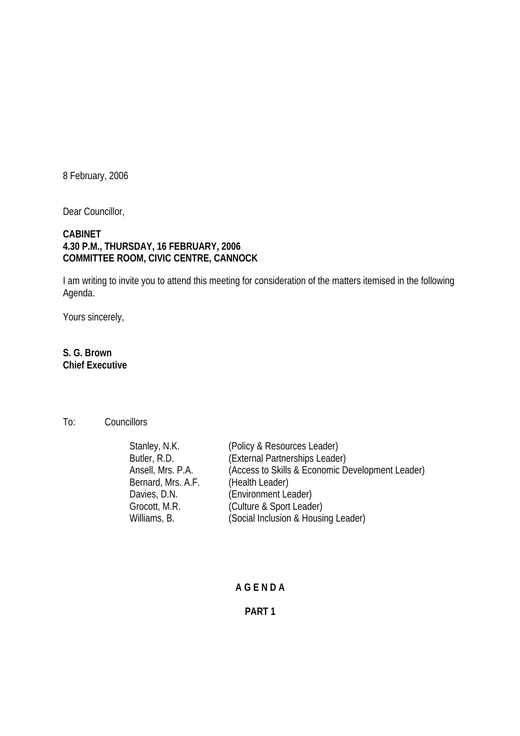8 February, 2006

Dear Councillor,

## **CABINET 4.30 P.M., THURSDAY, 16 FEBRUARY, 2006 COMMITTEE ROOM, CIVIC CENTRE, CANNOCK**

I am writing to invite you to attend this meeting for consideration of the matters itemised in the following Agenda.

Yours sincerely,

# **S. G. Brown Chief Executive**

## To: Councillors

| Stanley, N.K.      | (Policy & Resources Leader)                      |
|--------------------|--------------------------------------------------|
| Butler, R.D.       | (External Partnerships Leader)                   |
| Ansell, Mrs. P.A.  | (Access to Skills & Economic Development Leader) |
| Bernard, Mrs. A.F. | (Health Leader)                                  |
| Davies, D.N.       | (Environment Leader)                             |
| Grocott, M.R.      | (Culture & Sport Leader)                         |
| Williams, B.       | (Social Inclusion & Housing Leader)              |
|                    |                                                  |

#### **A G E N D A**

#### **PART 1**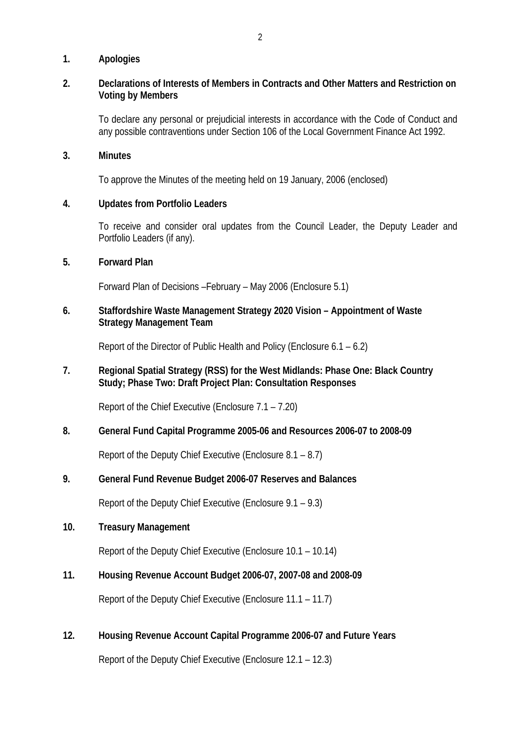### **1. Apologies**

## **2. Declarations of Interests of Members in Contracts and Other Matters and Restriction on Voting by Members**

To declare any personal or prejudicial interests in accordance with the Code of Conduct and any possible contraventions under Section 106 of the Local Government Finance Act 1992.

#### **3. Minutes**

To approve the Minutes of the meeting held on 19 January, 2006 (enclosed)

### **4. Updates from Portfolio Leaders**

To receive and consider oral updates from the Council Leader, the Deputy Leader and Portfolio Leaders (if any).

### **5. Forward Plan**

Forward Plan of Decisions –February – May 2006 (Enclosure 5.1)

## **6. Staffordshire Waste Management Strategy 2020 Vision – Appointment of Waste Strategy Management Team**

Report of the Director of Public Health and Policy (Enclosure 6.1 – 6.2)

# **7. Regional Spatial Strategy (RSS) for the West Midlands: Phase One: Black Country Study; Phase Two: Draft Project Plan: Consultation Responses**

Report of the Chief Executive (Enclosure 7.1 – 7.20)

## **8. General Fund Capital Programme 2005-06 and Resources 2006-07 to 2008-09**

Report of the Deputy Chief Executive (Enclosure 8.1 – 8.7)

## **9. General Fund Revenue Budget 2006-07 Reserves and Balances**

Report of the Deputy Chief Executive (Enclosure 9.1 – 9.3)

#### **10. Treasury Management**

Report of the Deputy Chief Executive (Enclosure 10.1 – 10.14)

## **11. Housing Revenue Account Budget 2006-07, 2007-08 and 2008-09**

Report of the Deputy Chief Executive (Enclosure 11.1 – 11.7)

## **12. Housing Revenue Account Capital Programme 2006-07 and Future Years**

Report of the Deputy Chief Executive (Enclosure 12.1 – 12.3)